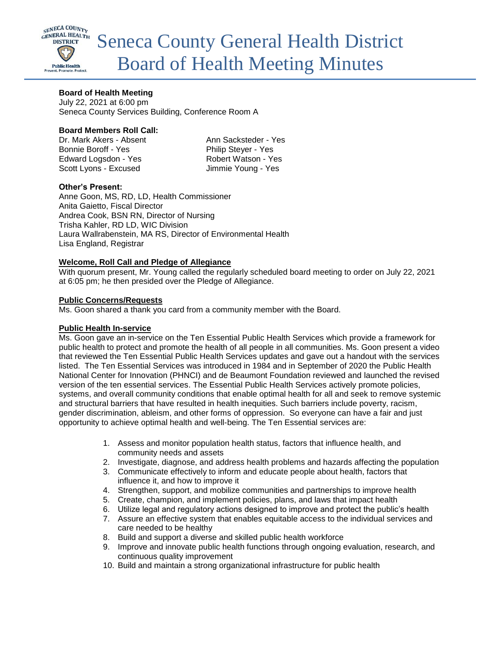

# **Board of Health Meeting**

July 22, 2021 at 6:00 pm Seneca County Services Building, Conference Room A

## **Board Members Roll Call:**

Dr. Mark Akers - Absent Ann Sacksteder - Yes Bonnie Boroff - Yes Philip Steyer - Yes Edward Logsdon - Yes Robert Watson - Yes Scott Lyons - Excused Jimmie Young - Yes

# **Other's Present:**

Anne Goon, MS, RD, LD, Health Commissioner Anita Gaietto, Fiscal Director Andrea Cook, BSN RN, Director of Nursing Trisha Kahler, RD LD, WIC Division Laura Wallrabenstein, MA RS, Director of Environmental Health Lisa England, Registrar

## **Welcome, Roll Call and Pledge of Allegiance**

With quorum present, Mr. Young called the regularly scheduled board meeting to order on July 22, 2021 at 6:05 pm; he then presided over the Pledge of Allegiance.

## **Public Concerns/Requests**

Ms. Goon shared a thank you card from a community member with the Board.

## **Public Health In-service**

Ms. Goon gave an in-service on the Ten Essential Public Health Services which provide a framework for public health to protect and promote the health of all people in all communities. Ms. Goon present a video that reviewed the Ten Essential Public Health Services updates and gave out a handout with the services listed. The Ten Essential Services was introduced in 1984 and in September of 2020 the Public Health National Center for Innovation (PHNCI) and de Beaumont Foundation reviewed and launched the revised version of the ten essential services. The Essential Public Health Services actively promote policies, systems, and overall community conditions that enable optimal health for all and seek to remove systemic and structural barriers that have resulted in health inequities. Such barriers include poverty, racism, gender discrimination, ableism, and other forms of oppression. So everyone can have a fair and just opportunity to achieve optimal health and well-being. The Ten Essential services are:

- 1. Assess and monitor population health status, factors that influence health, and community needs and assets
- 2. Investigate, diagnose, and address health problems and hazards affecting the population
- 3. Communicate effectively to inform and educate people about health, factors that influence it, and how to improve it
- 4. Strengthen, support, and mobilize communities and partnerships to improve health
- 5. Create, champion, and implement policies, plans, and laws that impact health
- 6. Utilize legal and regulatory actions designed to improve and protect the public's health
- 7. Assure an effective system that enables equitable access to the individual services and care needed to be healthy
- 8. Build and support a diverse and skilled public health workforce
- 9. Improve and innovate public health functions through ongoing evaluation, research, and continuous quality improvement
- 10. Build and maintain a strong organizational infrastructure for public health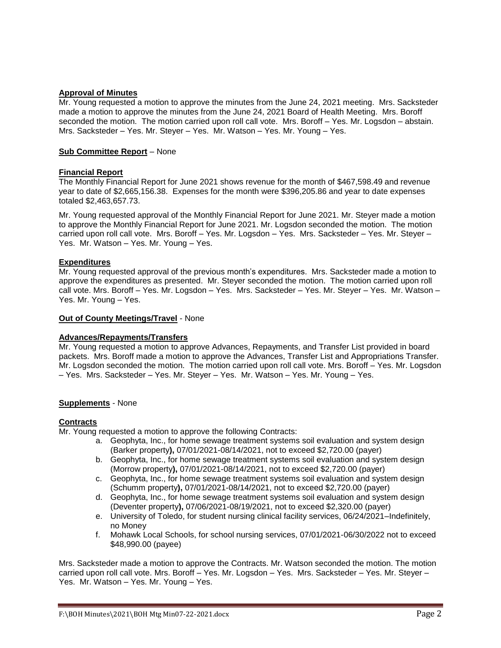# **Approval of Minutes**

Mr. Young requested a motion to approve the minutes from the June 24, 2021 meeting. Mrs. Sacksteder made a motion to approve the minutes from the June 24, 2021 Board of Health Meeting. Mrs. Boroff seconded the motion. The motion carried upon roll call vote. Mrs. Boroff – Yes. Mr. Logsdon – abstain. Mrs. Sacksteder – Yes. Mr. Steyer – Yes. Mr. Watson – Yes. Mr. Young – Yes.

## **Sub Committee Report** – None

## **Financial Report**

The Monthly Financial Report for June 2021 shows revenue for the month of \$467,598.49 and revenue year to date of \$2,665,156.38. Expenses for the month were \$396,205.86 and year to date expenses totaled \$2,463,657.73.

Mr. Young requested approval of the Monthly Financial Report for June 2021. Mr. Steyer made a motion to approve the Monthly Financial Report for June 2021. Mr. Logsdon seconded the motion. The motion carried upon roll call vote. Mrs. Boroff – Yes. Mr. Logsdon – Yes. Mrs. Sacksteder – Yes. Mr. Steyer – Yes. Mr. Watson – Yes. Mr. Young – Yes.

## **Expenditures**

Mr. Young requested approval of the previous month's expenditures. Mrs. Sacksteder made a motion to approve the expenditures as presented. Mr. Steyer seconded the motion. The motion carried upon roll call vote. Mrs. Boroff – Yes. Mr. Logsdon – Yes. Mrs. Sacksteder – Yes. Mr. Steyer – Yes. Mr. Watson – Yes. Mr. Young – Yes.

## **Out of County Meetings/Travel** - None

# **Advances/Repayments/Transfers**

Mr. Young requested a motion to approve Advances, Repayments, and Transfer List provided in board packets. Mrs. Boroff made a motion to approve the Advances, Transfer List and Appropriations Transfer. Mr. Logsdon seconded the motion. The motion carried upon roll call vote. Mrs. Boroff – Yes. Mr. Logsdon – Yes. Mrs. Sacksteder – Yes. Mr. Steyer – Yes. Mr. Watson – Yes. Mr. Young – Yes.

## **Supplements** - None

## **Contracts**

Mr. Young requested a motion to approve the following Contracts:

- a. Geophyta, Inc., for home sewage treatment systems soil evaluation and system design (Barker property**),** 07/01/2021-08/14/2021, not to exceed \$2,720.00 (payer)
- b. Geophyta, Inc., for home sewage treatment systems soil evaluation and system design (Morrow property**),** 07/01/2021-08/14/2021, not to exceed \$2,720.00 (payer)
- c. Geophyta, Inc., for home sewage treatment systems soil evaluation and system design (Schumm property**),** 07/01/2021-08/14/2021, not to exceed \$2,720.00 (payer)
- d. Geophyta, Inc., for home sewage treatment systems soil evaluation and system design (Deventer property**),** 07/06/2021-08/19/2021, not to exceed \$2,320.00 (payer)
- e. University of Toledo, for student nursing clinical facility services, 06/24/2021–Indefinitely, no Money
- f. Mohawk Local Schools, for school nursing services, 07/01/2021-06/30/2022 not to exceed \$48,990.00 (payee)

Mrs. Sacksteder made a motion to approve the Contracts. Mr. Watson seconded the motion. The motion carried upon roll call vote. Mrs. Boroff – Yes. Mr. Logsdon – Yes. Mrs. Sacksteder – Yes. Mr. Steyer – Yes. Mr. Watson – Yes. Mr. Young – Yes.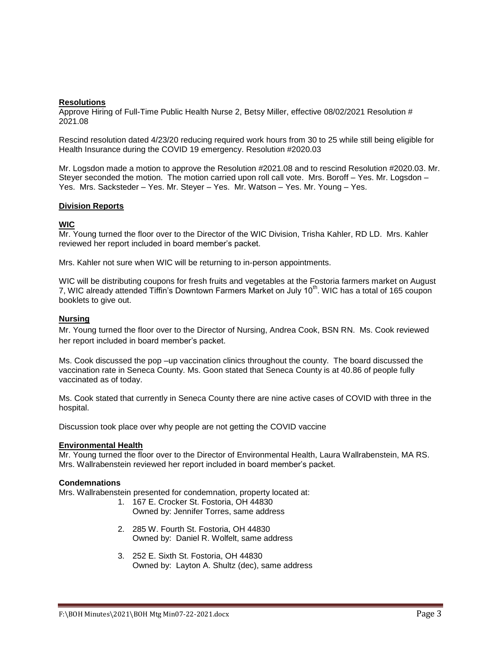## **Resolutions**

Approve Hiring of Full-Time Public Health Nurse 2, Betsy Miller, effective 08/02/2021 Resolution # 2021.08

Rescind resolution dated 4/23/20 reducing required work hours from 30 to 25 while still being eligible for Health Insurance during the COVID 19 emergency. Resolution #2020.03

Mr. Logsdon made a motion to approve the Resolution #2021.08 and to rescind Resolution #2020.03. Mr. Steyer seconded the motion. The motion carried upon roll call vote. Mrs. Boroff – Yes. Mr. Logsdon – Yes. Mrs. Sacksteder – Yes. Mr. Steyer – Yes. Mr. Watson – Yes. Mr. Young – Yes.

## **Division Reports**

# **WIC**

Mr. Young turned the floor over to the Director of the WIC Division, Trisha Kahler, RD LD. Mrs. Kahler reviewed her report included in board member's packet.

Mrs. Kahler not sure when WIC will be returning to in-person appointments.

WIC will be distributing coupons for fresh fruits and vegetables at the Fostoria farmers market on August 7, WIC already attended Tiffin's Downtown Farmers Market on July 10<sup>th</sup>. WIC has a total of 165 coupon booklets to give out.

## **Nursing**

Mr. Young turned the floor over to the Director of Nursing, Andrea Cook, BSN RN. Ms. Cook reviewed her report included in board member's packet.

Ms. Cook discussed the pop –up vaccination clinics throughout the county. The board discussed the vaccination rate in Seneca County. Ms. Goon stated that Seneca County is at 40.86 of people fully vaccinated as of today.

Ms. Cook stated that currently in Seneca County there are nine active cases of COVID with three in the hospital.

Discussion took place over why people are not getting the COVID vaccine

#### **Environmental Health**

Mr. Young turned the floor over to the Director of Environmental Health, Laura Wallrabenstein, MA RS. Mrs. Wallrabenstein reviewed her report included in board member's packet.

#### **Condemnations**

Mrs. Wallrabenstein presented for condemnation, property located at:

- 1. 167 E. Crocker St. Fostoria, OH 44830 Owned by: Jennifer Torres, same address
- 2. 285 W. Fourth St. Fostoria, OH 44830 Owned by: Daniel R. Wolfelt, same address
- 3. 252 E. Sixth St. Fostoria, OH 44830 Owned by: Layton A. Shultz (dec), same address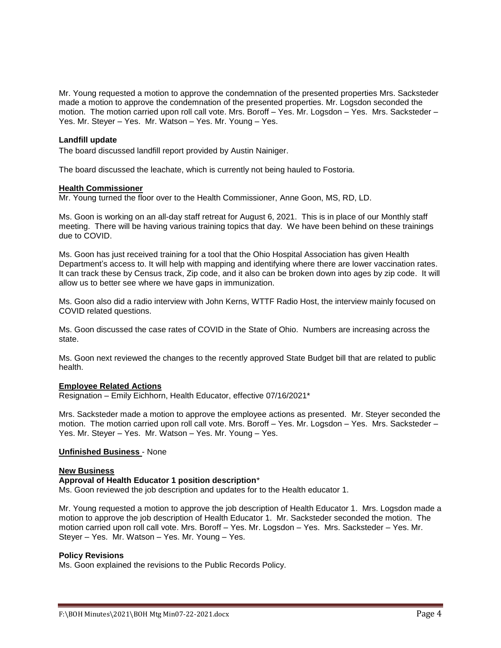Mr. Young requested a motion to approve the condemnation of the presented properties Mrs. Sacksteder made a motion to approve the condemnation of the presented properties. Mr. Logsdon seconded the motion. The motion carried upon roll call vote. Mrs. Boroff – Yes. Mr. Logsdon – Yes. Mrs. Sacksteder – Yes. Mr. Steyer – Yes. Mr. Watson – Yes. Mr. Young – Yes.

#### **Landfill update**

The board discussed landfill report provided by Austin Nainiger.

The board discussed the leachate, which is currently not being hauled to Fostoria.

#### **Health Commissioner**

Mr. Young turned the floor over to the Health Commissioner, Anne Goon, MS, RD, LD.

Ms. Goon is working on an all-day staff retreat for August 6, 2021. This is in place of our Monthly staff meeting. There will be having various training topics that day. We have been behind on these trainings due to COVID.

Ms. Goon has just received training for a tool that the Ohio Hospital Association has given Health Department's access to. It will help with mapping and identifying where there are lower vaccination rates. It can track these by Census track, Zip code, and it also can be broken down into ages by zip code. It will allow us to better see where we have gaps in immunization.

Ms. Goon also did a radio interview with John Kerns, WTTF Radio Host, the interview mainly focused on COVID related questions.

Ms. Goon discussed the case rates of COVID in the State of Ohio. Numbers are increasing across the state.

Ms. Goon next reviewed the changes to the recently approved State Budget bill that are related to public health.

#### **Employee Related Actions**

Resignation – Emily Eichhorn, Health Educator, effective 07/16/2021\*

Mrs. Sacksteder made a motion to approve the employee actions as presented. Mr. Steyer seconded the motion. The motion carried upon roll call vote. Mrs. Boroff – Yes. Mr. Logsdon – Yes. Mrs. Sacksteder – Yes. Mr. Steyer – Yes. Mr. Watson – Yes. Mr. Young – Yes.

## **Unfinished Business** - None

#### **New Business**

#### **Approval of Health Educator 1 position description**\*

Ms. Goon reviewed the job description and updates for to the Health educator 1.

Mr. Young requested a motion to approve the job description of Health Educator 1. Mrs. Logsdon made a motion to approve the job description of Health Educator 1. Mr. Sacksteder seconded the motion. The motion carried upon roll call vote. Mrs. Boroff – Yes. Mr. Logsdon – Yes. Mrs. Sacksteder – Yes. Mr. Steyer – Yes. Mr. Watson – Yes. Mr. Young – Yes.

#### **Policy Revisions**

Ms. Goon explained the revisions to the Public Records Policy.